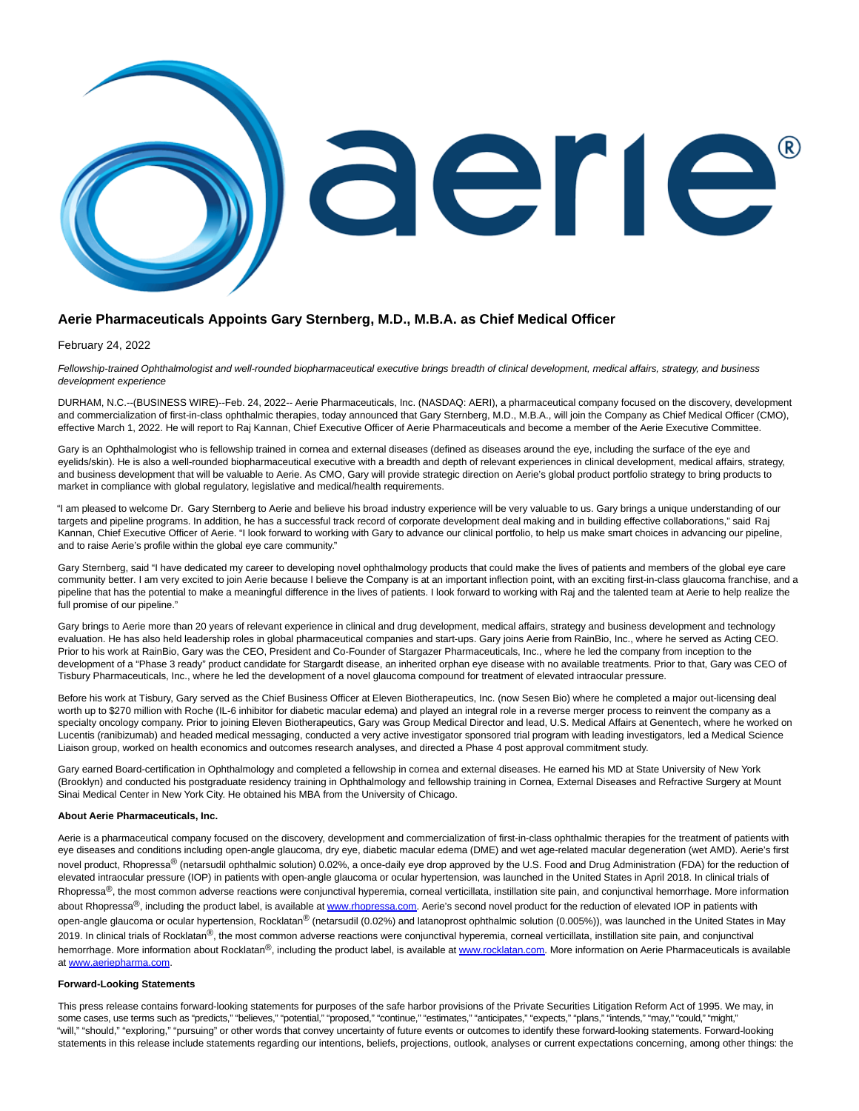

## **Aerie Pharmaceuticals Appoints Gary Sternberg, M.D., M.B.A. as Chief Medical Officer**

## February 24, 2022

Fellowship-trained Ophthalmologist and well-rounded biopharmaceutical executive brings breadth of clinical development, medical affairs, strategy, and business development experience

DURHAM, N.C.--(BUSINESS WIRE)--Feb. 24, 2022-- Aerie Pharmaceuticals, Inc. (NASDAQ: AERI), a pharmaceutical company focused on the discovery, development and commercialization of first-in-class ophthalmic therapies, today announced that Gary Sternberg, M.D., M.B.A., will join the Company as Chief Medical Officer (CMO), effective March 1, 2022. He will report to Raj Kannan, Chief Executive Officer of Aerie Pharmaceuticals and become a member of the Aerie Executive Committee.

Gary is an Ophthalmologist who is fellowship trained in cornea and external diseases (defined as diseases around the eye, including the surface of the eye and eyelids/skin). He is also a well-rounded biopharmaceutical executive with a breadth and depth of relevant experiences in clinical development, medical affairs, strategy, and business development that will be valuable to Aerie. As CMO, Gary will provide strategic direction on Aerie's global product portfolio strategy to bring products to market in compliance with global regulatory, legislative and medical/health requirements.

"I am pleased to welcome Dr. Gary Sternberg to Aerie and believe his broad industry experience will be very valuable to us. Gary brings a unique understanding of our targets and pipeline programs. In addition, he has a successful track record of corporate development deal making and in building effective collaborations," said Raj Kannan, Chief Executive Officer of Aerie. "I look forward to working with Gary to advance our clinical portfolio, to help us make smart choices in advancing our pipeline, and to raise Aerie's profile within the global eye care community."

Gary Sternberg, said "I have dedicated my career to developing novel ophthalmology products that could make the lives of patients and members of the global eye care community better. I am very excited to join Aerie because I believe the Company is at an important inflection point, with an exciting first-in-class glaucoma franchise, and a pipeline that has the potential to make a meaningful difference in the lives of patients. I look forward to working with Raj and the talented team at Aerie to help realize the full promise of our pipeline."

Gary brings to Aerie more than 20 years of relevant experience in clinical and drug development, medical affairs, strategy and business development and technology evaluation. He has also held leadership roles in global pharmaceutical companies and start-ups. Gary joins Aerie from RainBio, Inc., where he served as Acting CEO. Prior to his work at RainBio, Gary was the CEO, President and Co-Founder of Stargazer Pharmaceuticals, Inc., where he led the company from inception to the development of a "Phase 3 ready" product candidate for Stargardt disease, an inherited orphan eye disease with no available treatments. Prior to that, Gary was CEO of Tisbury Pharmaceuticals, Inc., where he led the development of a novel glaucoma compound for treatment of elevated intraocular pressure.

Before his work at Tisbury, Gary served as the Chief Business Officer at Eleven Biotherapeutics, Inc. (now Sesen Bio) where he completed a major out-licensing deal worth up to \$270 million with Roche (IL-6 inhibitor for diabetic macular edema) and played an integral role in a reverse merger process to reinvent the company as a specialty oncology company. Prior to joining Eleven Biotherapeutics, Gary was Group Medical Director and lead, U.S. Medical Affairs at Genentech, where he worked on Lucentis (ranibizumab) and headed medical messaging, conducted a very active investigator sponsored trial program with leading investigators, led a Medical Science Liaison group, worked on health economics and outcomes research analyses, and directed a Phase 4 post approval commitment study.

Gary earned Board-certification in Ophthalmology and completed a fellowship in cornea and external diseases. He earned his MD at State University of New York (Brooklyn) and conducted his postgraduate residency training in Ophthalmology and fellowship training in Cornea, External Diseases and Refractive Surgery at Mount Sinai Medical Center in New York City. He obtained his MBA from the University of Chicago.

## **About Aerie Pharmaceuticals, Inc.**

Aerie is a pharmaceutical company focused on the discovery, development and commercialization of first-in-class ophthalmic therapies for the treatment of patients with eye diseases and conditions including open-angle glaucoma, dry eye, diabetic macular edema (DME) and wet age-related macular degeneration (wet AMD). Aerie's first novel product, Rhopressa<sup>®</sup> (netarsudil ophthalmic solution) 0.02%, a once-daily eye drop approved by the U.S. Food and Drug Administration (FDA) for the reduction of elevated intraocular pressure (IOP) in patients with open-angle glaucoma or ocular hypertension, was launched in the United States in April 2018. In clinical trials of Rhopressa<sup>®</sup>, the most common adverse reactions were conjunctival hyperemia, corneal verticillata, instillation site pain, and conjunctival hemorrhage. More information about Rhopressa®, including the product label, is available at [www.rhopressa.com.](https://cts.businesswire.com/ct/CT?id=smartlink&url=http%3A%2F%2Fwww.rhopressa.com&esheet=52584664&newsitemid=20220224005259&lan=en-US&anchor=www.rhopressa.com&index=1&md5=a697741a033c75fb27cae40ec9c08abf) Aerie's second novel product for the reduction of elevated IOP in patients with open-angle glaucoma or ocular hypertension, Rocklatan<sup>®</sup> (netarsudil (0.02%) and latanoprost ophthalmic solution (0.005%)), was launched in the United States in May 2019. In clinical trials of Rocklatan<sup>®</sup>, the most common adverse reactions were conjunctival hyperemia, corneal verticillata, instillation site pain, and conjunctival hemorrhage. More information about Rocklatan®, including the product label, is available a[t www.rocklatan.com.](https://cts.businesswire.com/ct/CT?id=smartlink&url=http%3A%2F%2Fwww.rocklatan.com&esheet=52584664&newsitemid=20220224005259&lan=en-US&anchor=www.rocklatan.com&index=2&md5=a30495be436fe7940f29b667d0f5913c) More information on Aerie Pharmaceuticals is available a[t www.aeriepharma.com.](https://cts.businesswire.com/ct/CT?id=smartlink&url=http%3A%2F%2Fwww.aeriepharma.com&esheet=52584664&newsitemid=20220224005259&lan=en-US&anchor=www.aeriepharma.com&index=3&md5=536aeedfca64dedd28a5118853a0ee44)

## **Forward-Looking Statements**

This press release contains forward-looking statements for purposes of the safe harbor provisions of the Private Securities Litigation Reform Act of 1995. We may, in some cases, use terms such as "predicts," "believes," "potential," "proposed," "continue," "estimates," "anticipates," "expects," "plans," "intends," "may," "could," "might," "will," "should," "exploring," "pursuing" or other words that convey uncertainty of future events or outcomes to identify these forward-looking statements. Forward-looking statements in this release include statements regarding our intentions, beliefs, projections, outlook, analyses or current expectations concerning, among other things: the